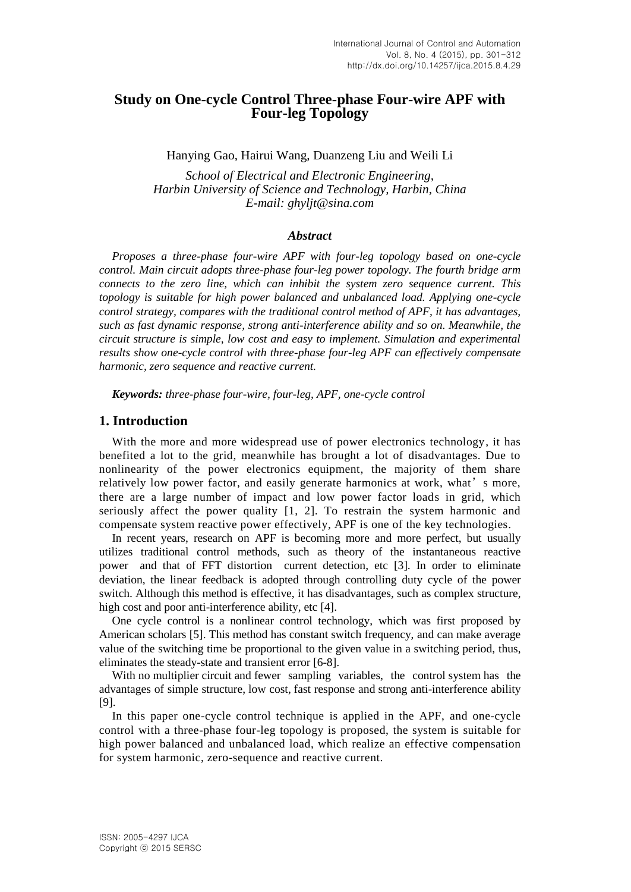## **Study on One-cycle Control Three-phase Four-wire APF with Four-leg Topology**

Hanying Gao, Hairui Wang, Duanzeng Liu and Weili Li

*School of Electrical and Electronic Engineering, Harbin University of Science and Technology, Harbin, China E-mail: ghyljt@sina.com*

#### *Abstract*

*Proposes a three-phase four-wire APF with four-leg topology based on one-cycle control. Main circuit adopts three-phase four-leg power topology. The fourth bridge arm connects to the zero line, which can inhibit the system zero sequence current. This topology is suitable for high power balanced and unbalanced load. Applying one-cycle control strategy, compares with the traditional control method of APF, it has advantages, such as fast dynamic response, strong anti-interference ability and so on. Meanwhile, the circuit structure is simple, low cost and easy to implement. Simulation and experimental results show one-cycle control with three-phase four-leg APF can effectively compensate harmonic, zero sequence and reactive current.*

*Keywords: three-phase four-wire, four-leg, APF, one-cycle control*

#### **1. Introduction**

With the more and more widespread use of power electronics technology, it has benefited a lot to the grid, meanwhile has brought a lot of disadvantages. Due to nonlinearity of the power electronics equipment, the majority of them share relatively low power factor, and easily generate harmonics at work, what's more, there are a large number of impact and low power factor loads in grid, which seriously affect the power quality [1, 2]. To restrain the system harmonic and compensate system reactive power effectively, APF is one of the key technologies.

In recent years, research on APF is becoming more and more perfect, but usually utilizes traditional control methods, such as theory of the instantaneous reactive power and that of FFT distortion current detection, etc [3]. In order to eliminate deviation, the linear feedback is adopted through controlling duty cycle of the power switch. Although this method is effective, it has disadvantages, such as complex structure, high cost and poor anti-interference ability, etc [4].

One cycle control is a nonlinear control technology, which was first proposed by American scholars [5]. This method has constant switch frequency, and can make average value of the switching time be proportional to the given value in a switching period, thus, eliminates the steady-state and transient error [6-8].

With no multiplier circuit and fewer sampling variables, the control system has the advantages of simple structure, low cost, fast response and strong anti-interference ability [9].

In this paper one-cycle control technique is applied in the APF, and one-cycle control with a three-phase four-leg topology is proposed, the system is suitable for high power balanced and unbalanced load, which realize an effective compensation for system harmonic, zero-sequence and reactive current.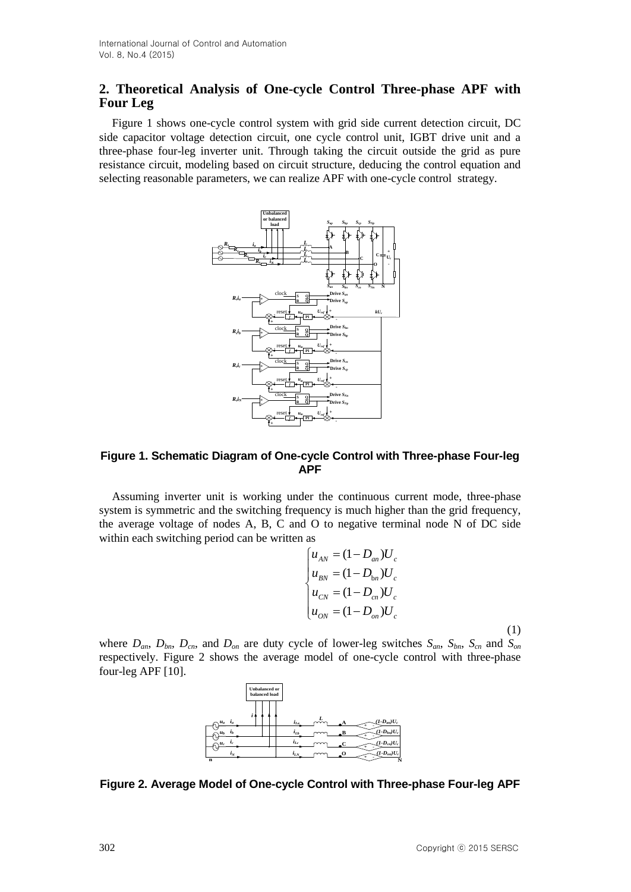# **2. Theoretical Analysis of One-cycle Control Three-phase APF with Four Leg**

Figure 1 shows one-cycle control system with grid side current detection circuit, DC side capacitor voltage detection circuit, one cycle control unit, IGBT drive unit and a three-phase four-leg inverter unit. Through taking the circuit outside the grid as pure resistance circuit, modeling based on circuit structure, deducing the control equation and selecting reasonable parameters, we can realize APF with one-cycle control strategy.



#### **Figure 1. Schematic Diagram of One-cycle Control with Three-phase Four-leg APF**

Assuming inverter unit is working under the continuous current mode, three-phase system is symmetric and the switching frequency is much higher than the grid frequency, the average voltage of nodes A, B, C and O to negative terminal node N of DC side within each switching period can be written as

$$
\begin{cases}\n u_{AN} = (1 - D_{an})U_c \\
 u_{BN} = (1 - D_{bn})U_c \\
 u_{CN} = (1 - D_{cn})U_c \\
 u_{ON} = (1 - D_{on})U_c\n\end{cases}
$$

(1)

where  $D_{an}$ ,  $D_{bn}$ ,  $D_{cn}$ , and  $D_{on}$  are duty cycle of lower-leg switches  $S_{an}$ ,  $S_{bn}$ ,  $S_{cn}$  and  $S_{on}$ respectively. Figure 2 shows the average model of one-cycle control with three-phase four-leg APF [10].



**Figure 2. Average Model of One-cycle Control with Three-phase Four-leg APF**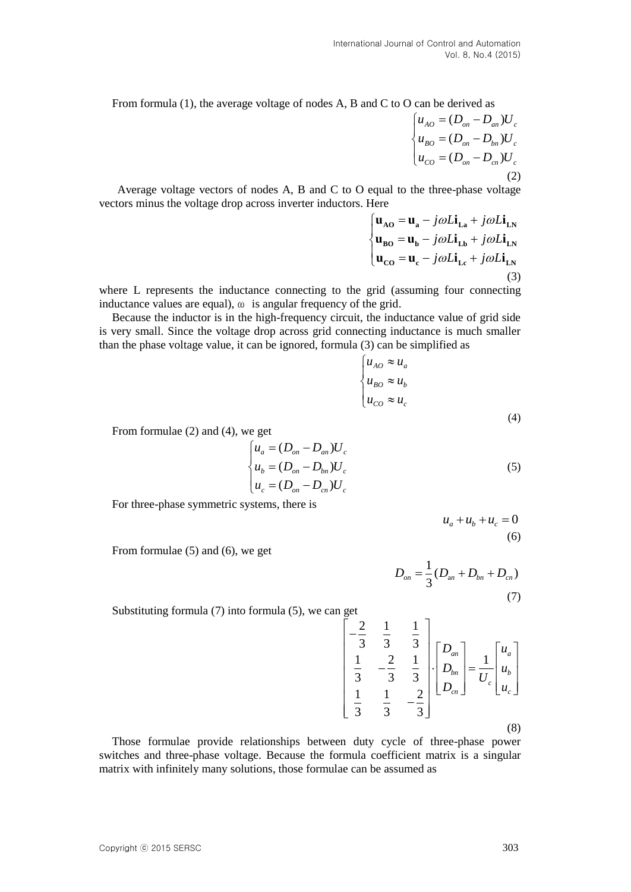From formula (1), the average voltage of nodes A, B and C to O can be derived as

$$
\begin{cases}\n u_{AO} = (D_{on} - D_{an})U_c \\
 u_{BO} = (D_{on} - D_{bn})U_c \\
 u_{CO} = (D_{on} - D_{cn})U_c\n\end{cases}
$$
\n(2)

 Average voltage vectors of nodes A, B and C to O equal to the three-phase voltage vectors minus the voltage drop across inverter inductors. Here

Here  
\n
$$
\begin{cases}\n\mathbf{u}_{\text{AO}} = \mathbf{u}_{\text{a}} - j\omega L \mathbf{i}_{\text{La}} + j\omega L \mathbf{i}_{\text{LN}} \\
\mathbf{u}_{\text{BO}} = \mathbf{u}_{\text{b}} - j\omega L \mathbf{i}_{\text{Lb}} + j\omega L \mathbf{i}_{\text{LN}} \\
\mathbf{u}_{\text{CO}} = \mathbf{u}_{\text{c}} - j\omega L \mathbf{i}_{\text{Lc}} + j\omega L \mathbf{i}_{\text{LN}}\n\end{cases}
$$
\n(3)

where L represents the inductance connecting to the grid (assuming four connecting inductance values are equal), ω is angular frequency of the grid.

Because the inductor is in the high-frequency circuit, the inductance value of grid side is very small. Since the voltage drop across grid connecting inductance is much smaller than the phase voltage value, it can be ignored, formula (3) can be simplified as

$$
\begin{cases} u_{AO} \approx u_a \\ u_{BO} \approx u_b \\ u_{CO} \approx u_c \end{cases}
$$
 (4)

From formulae (2) and (4), we get

$$
\begin{cases}\n u_a = (D_{on} - D_{an})U_c \\
 u_b = (D_{on} - D_{bn})U_c \\
 u_c = (D_{on} - D_{cn})U_c\n\end{cases}
$$
\n(5)

For three-phase symmetric systems, there is

$$
u_a + u_b + u_c = 0
$$
  
(6)

From formulae (5) and (6), we get

$$
D_{on} = \frac{1}{3}(D_{an} + D_{bn} + D_{cn})
$$
 $(7)$ 

Substituting formula (7) into formula (5), we can get

get  
\n
$$
\begin{bmatrix}\n-2 & 1 & 1 \\
-3 & 3 & 3 \\
1 & -2 & 1 \\
3 & -3 & 3 \\
1 & 1 & -2 \\
3 & 3 & -3\n\end{bmatrix}\n\begin{bmatrix}\nD_{an} \\
D_{bn} \\
D_{cn}\n\end{bmatrix} = \frac{1}{U_c} \begin{bmatrix}\nu_a \\
u_b \\
u_c\n\end{bmatrix}
$$
\n(8)

Those formulae provide relationships between duty cycle of three-phase power switches and three-phase voltage. Because the formula coefficient matrix is a singular matrix with infinitely many solutions, those formulae can be assumed as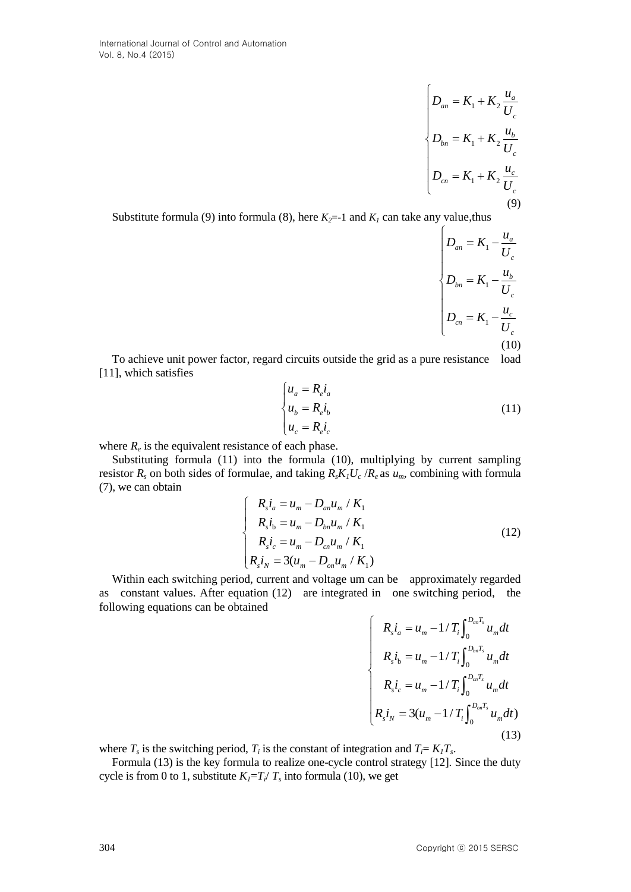$$
D_{an} = K_1 + K_2 \frac{u_a}{U_c}
$$
  

$$
D_{bn} = K_1 + K_2 \frac{u_b}{U_c}
$$
  

$$
D_{cn} = K_1 + K_2 \frac{u_c}{U_c}
$$
 (9)

Substitute formula (9) into formula (8), here  $K_2=1$  and  $K_1$  can take any value, thus

$$
\begin{cases}\nD_{an} = K_1 - \frac{u_a}{U_c} \\
D_{bn} = K_1 - \frac{u_b}{U_c} \\
D_{cn} = K_1 - \frac{u_c}{U_c} \\
(10)\n\end{cases}
$$

To achieve unit power factor, regard circuits outside the grid as a pure resistance load [11], which satisfies

$$
\begin{cases}\n u_a = R_e i_a \\
 u_b = R_e i_b \\
 u_c = R_e i_c\n\end{cases}
$$
\n(11)

where  $R_e$  is the equivalent resistance of each phase.

Substituting formula (11) into the formula (10), multiplying by current sampling resistor *R<sup>s</sup>* on both sides of formulae, and taking *RsK1U<sup>c</sup>* /*R<sup>e</sup>* as *um*, combining with formula (7), we can obtain

$$
\begin{cases}\nR_s i_a = u_m - D_{an} u_m / K_1 \\
R_s i_b = u_m - D_{bn} u_m / K_1 \\
R_s i_c = u_m - D_{cn} u_m / K_1 \\
R_s i_N = 3(u_m - D_{on} u_m / K_1)\n\end{cases}
$$
\n(12)

Within each switching period, current and voltage um can be approximately regarded as constant values. After equation (12) are integrated in one switching period, the following equations can be obtained

$$
R_{s}i_{a} = u_{m} - 1/T_{i}\int_{0}^{D_{an}T_{s}} u_{m}dt
$$
  
\n
$$
R_{s}i_{b} = u_{m} - 1/T_{i}\int_{0}^{D_{bn}T_{s}} u_{m}dt
$$
  
\n
$$
R_{s}i_{c} = u_{m} - 1/T_{i}\int_{0}^{D_{cn}T_{s}} u_{m}dt
$$
  
\n
$$
R_{s}i_{N} = 3(u_{m} - 1/T_{i}\int_{0}^{D_{on}T_{s}} u_{m}dt)
$$
\n(13)

where  $T_s$  is the switching period,  $T_i$  is the constant of integration and  $T_i = K_i T_s$ .

Formula (13) is the key formula to realize one-cycle control strategy [12]. Since the duty cycle is from 0 to 1, substitute  $K_I = T_i / T_s$  into formula (10), we get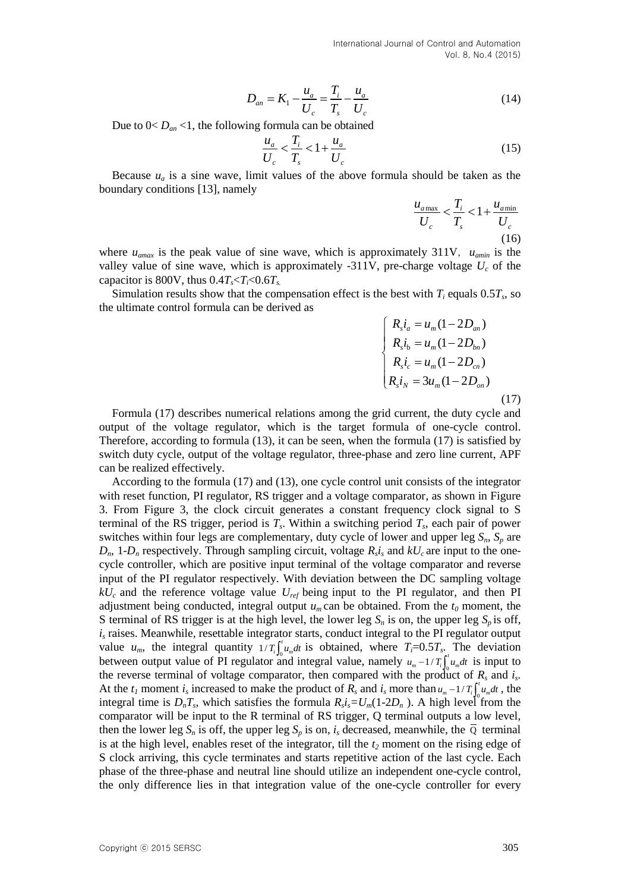International Journal of Control and Automation Vol. 8, No.4 (2015)

$$
D_{an} = K_1 - \frac{u_a}{U_c} = \frac{T_i}{T_s} - \frac{u_a}{U_c}
$$
 (14)

Due to  $0 < D_{an} < 1$ , the following formula can be obtained

$$
\frac{u_a}{U_c} < \frac{T_i}{T_s} < 1 + \frac{u_a}{U_c} \tag{15}
$$

Because  $u_a$  is a [sine wave,](http://dict.cnki.net/javascript:showjdsw() limit values of the above formula should be taken as the boundary conditions [13], namely

$$
\frac{u_{a\text{max}}}{U_c} < \frac{T_i}{T_s} < 1 + \frac{u_{a\text{min}}}{U_c} \tag{16}
$$

where  $u_{\text{amax}}$  is the peak value of sine wave, which is approximately 311V,  $u_{\text{amin}}$  is the valley value of sine wave, which is approximately -311V, pre-charge voltage  $U_c$  of the capacitor is 800V, thus  $0.4T_s < T_i < 0.6T_s$ .

Simulation results show that the compensation effect is the best with  $T_i$  equals 0.5 $T_s$ , so the ultimate control formula can be derived as

$$
\begin{cases}\nR_s i_a = u_m (1 - 2D_{an}) \\
R_s i_b = u_m (1 - 2D_{bn}) \\
R_s i_c = u_m (1 - 2D_{cn}) \\
R_s i_N = 3u_m (1 - 2D_{on})\n\end{cases}
$$
\n(17)

Formula (17) describes numerical relations among the grid current, the duty cycle and output of the voltage regulator, which is the target formula of one-cycle control. Therefore, according to formula (13), it can be seen, when the formula (17) is satisfied by switch duty cycle, output of the voltage regulator, three-phase and zero line current, APF can be realized effectively.

According to the formula (17) and (13), one cycle control unit consists of the integrator with reset function, PI regulator, RS trigger and a voltage comparator, as shown in Figure 3. From Figure 3, the clock circuit generates a constant frequency clock signal to S terminal of the RS trigger, period is  $T_s$ . Within a switching period  $T_s$ , each pair of power switches within four legs are complementary, duty cycle of lower and upper leg *Sn*, *S<sup>p</sup>* are  $D_n$ , 1- $D_n$  respectively. Through sampling circuit, voltage  $R_s$ *i*<sub>s</sub> and  $kU_c$  are input to the onecycle controller, which are positive input terminal of the voltage comparator and reverse input of the PI regulator respectively. With deviation between the DC sampling voltage *kUc* and the reference voltage value *Uref* being input to the PI regulator, and then PI adjustment being conducted, integral output  $u_m$  can be obtained. From the  $t_0$  moment, the S terminal of RS trigger is at the high level, the lower leg  $S_n$  is on, the upper leg  $S_n$  is off, *i<sup>s</sup>* raises. Meanwhile, resettable integrator starts, conduct integral to the PI regulator output value  $u_m$ , the integral quantity  $1/T_i \int_0^t u_m dt$  is obtained, where  $T_i=0.5T_s$ . The deviation between output value of PI regulator and integral value, namely  $u_m - 1/T_i \int_0^t u_m dt$  is input to the reverse terminal of voltage comparator, then compared with the product of  $R_s$  and  $i_s$ . At the  $t_I$  moment  $i_s$  increased to make the product of  $R_s$  and  $i_s$  more than  $u_m - 1/T_l \int_0^t u_m dt$ , the integral time is  $D_nT_s$ , which satisfies the formula  $R_s i_s = U_m(1-2D_n)$ . A high level from the comparator will be input to the R terminal of RS trigger, Q terminal outputs a low level, then the lower leg  $S_n$  is off, the upper leg  $S_p$  is on,  $i_s$  decreased, meanwhile, the  $\overline{Q}$  terminal is at the high level, enables reset of the integrator, till the *t<sup>2</sup>* moment on the rising edge of S clock arriving, this cycle terminates and starts repetitive action of the last cycle. Each phase of the three-phase and neutral line should utilize an independent one-cycle control, the only difference lies in that integration value of the one-cycle controller for every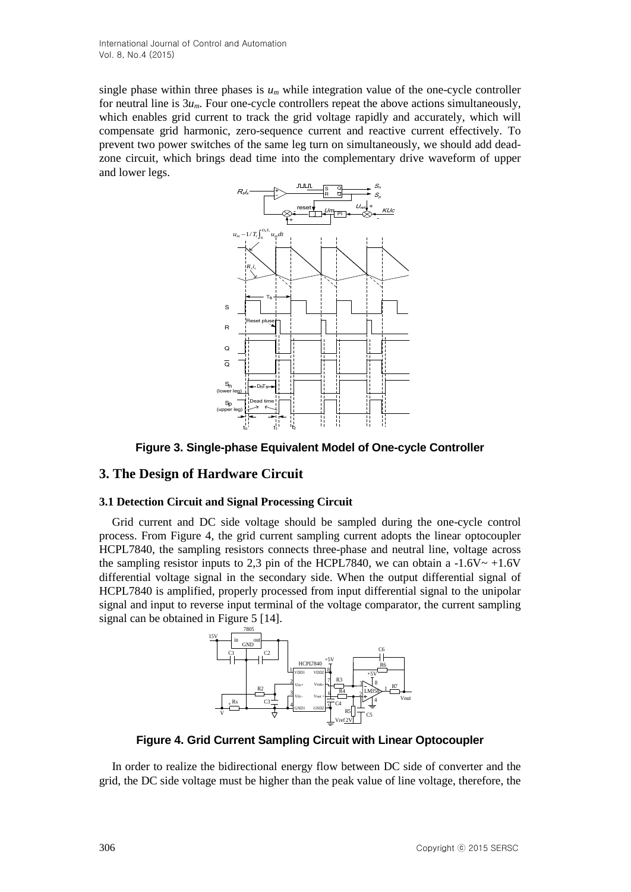single phase within three phases is  $u_m$  while integration value of the one-cycle controller for neutral line is  $3u_m$ . Four one-cycle controllers repeat the above actions simultaneously, which enables grid current to track the grid voltage rapidly and accurately, which will compensate grid harmonic, zero-sequence current and reactive current effectively. To prevent two power switches of the same leg turn on simultaneously, we should add deadzone circuit, which brings dead time into the complementary drive waveform of upper and lower legs.



**Figure 3. Single-phase Equivalent Model of One-cycle Controller**

## **3. The Design of Hardware Circuit**

## **3.1 Detection Circuit and Signal Processing Circuit**

Grid current and DC side voltage should be sampled during the one-cycle control process. From Figure 4, the grid current sampling current adopts the linear optocoupler HCPL7840, the sampling resistors connects three-phase and neutral line, voltage across the sampling resistor inputs to 2,3 pin of the HCPL7840, we can obtain a  $-1.6V \sim +1.6V$ differential voltage signal in the secondary side. When the output differential signal of HCPL7840 is amplified, properly processed from input differential signal to the unipolar signal and input to reverse input terminal of the voltage comparator, the current sampling signal can be obtained in Figure 5 [14].



**Figure 4. Grid Current Sampling Circuit with Linear Optocoupler**

In order to realize the bidirectional energy flow between DC side of converter and the grid, the DC side voltage must be higher than the peak value of line voltage, therefore, the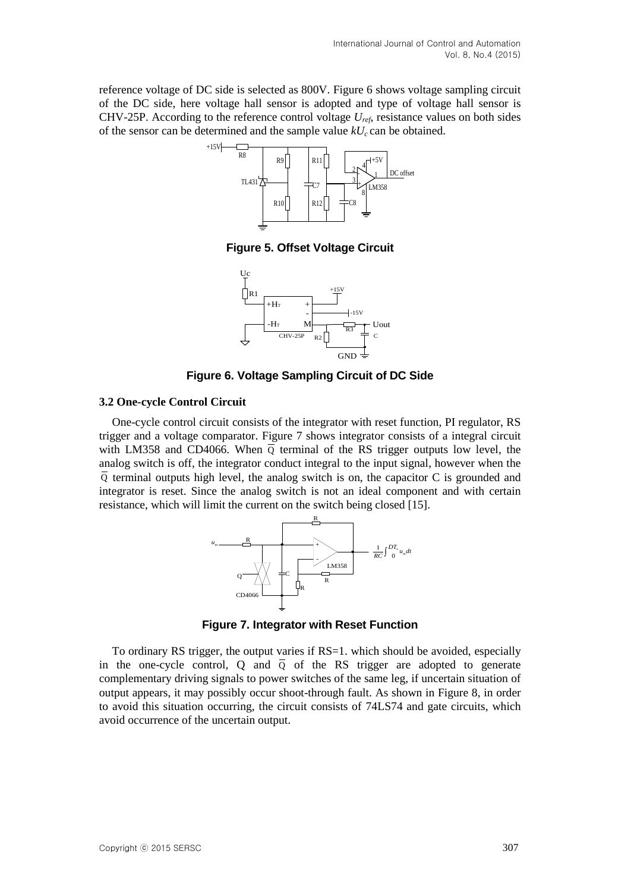reference voltage of DC side is selected as 800V. Figure 6 shows voltage sampling circuit of the DC side, here voltage hall sensor is adopted and type of voltage hall sensor is CHV-25P. According to the reference control voltage *Uref*, resistance values on both sides of the sensor can be determined and the sample value  $kU_c$  can be obtained.



**Figure 5. Offset Voltage Circuit**



**Figure 6. Voltage Sampling Circuit of DC Side**

#### **3.2 One-cycle Control Circuit**

One-cycle control circuit consists of the integrator with reset function, PI regulator, RS trigger and a voltage comparator. Figure 7 shows integrator consists of a integral circuit with LM358 and CD4066. When  $\overline{Q}$  terminal of the RS trigger outputs low level, the analog switch is off, the integrator conduct integral to the input signal, however when the  $\overline{Q}$  terminal outputs high level, the analog switch is on, the capacitor C is grounded and integrator is reset. Since the analog switch is not an ideal component and with certain resistance, which will limit the current on the switch being closed [15].



**Figure 7. Integrator with Reset Function**

To ordinary RS trigger, the output varies if RS=1. which should be avoided, especially in the one-cycle control, Q and  $\overline{Q}$  of the RS trigger are adopted to generate complementary driving signals to power switches of the same leg, if uncertain situation of output appears, it may possibly occur shoot-through fault. As shown in Figure 8, in order to avoid this situation occurring, the circuit consists of 74LS74 and gate circuits, which avoid occurrence of the uncertain output.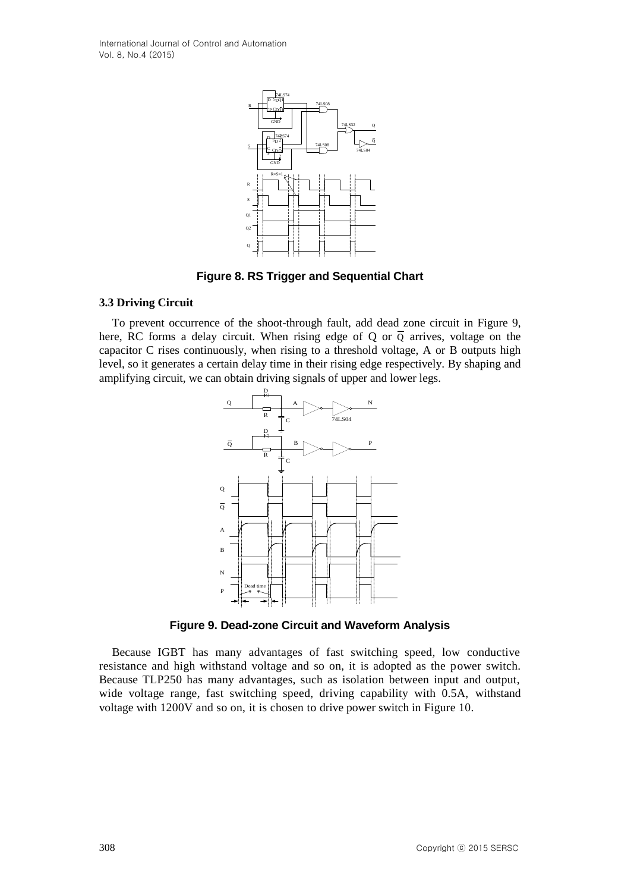International Journal of Control and Automation Vol. 8, No.4 (2015)



**Figure 8. RS Trigger and Sequential Chart**

#### **3.3 Driving Circuit**

To prevent occurrence of the shoot-through fault, add dead zone circuit in Figure 9, here, RC forms a delay circuit. When rising edge of Q or  $\overline{Q}$  arrives, voltage on the capacitor C rises continuously, when rising to a threshold voltage, A or B outputs high level, so it generates a certain delay time in their rising edge respectively. By [shaping](http://dict.cnki.net/dict_result.aspx?searchword=%e6%95%b4%e5%bd%a2%e7%94%b5%e8%b7%af&tjType=sentence&style=&t=shaping+circuit) and [amplifying circuit,](http://dict.cnki.net/dict_result.aspx?searchword=%e6%95%b4%e5%bd%a2%e7%94%b5%e8%b7%af&tjType=sentence&style=&t=shaping+circuit) we can obtain driving signals of upper and lower legs.



**Figure 9. Dead-zone Circuit and Waveform Analysis**

Because IGBT has many advantages of fast switching speed, low conductive resistance and high withstand voltage and so on, it is adopted as the power switch. Because TLP250 has many advantages, such as isolation between input and output, wide voltage range, fast switching speed, driving capability with 0.5A, [withstand](http://dict.cnki.net/dict_result.aspx?searchword=%e8%80%90%e5%8e%8b&tjType=sentence&style=&t=withstand+voltage)  [voltage](http://dict.cnki.net/dict_result.aspx?searchword=%e8%80%90%e5%8e%8b&tjType=sentence&style=&t=withstand+voltage) with 1200V and so on, it is chosen to drive power switch in Figure 10.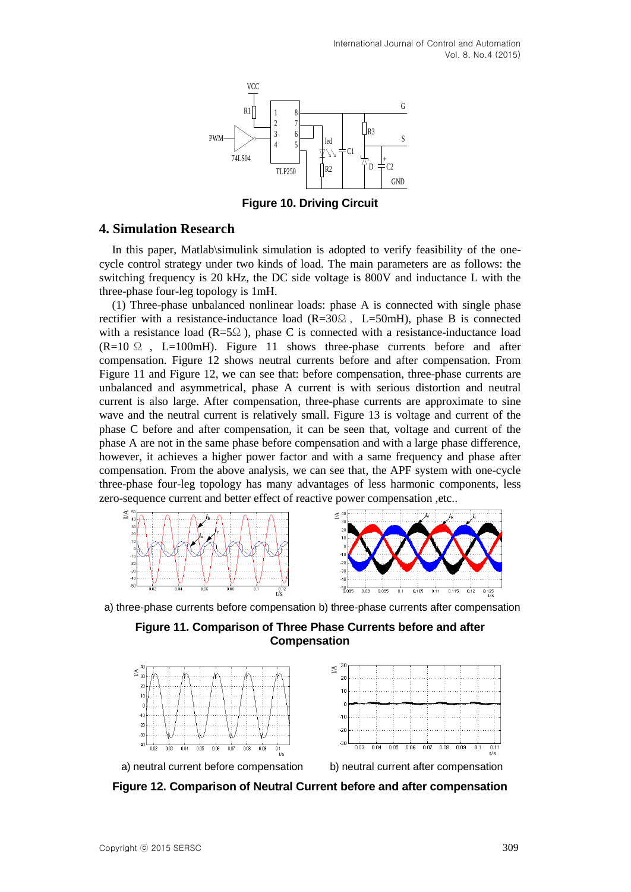

**Figure 10. Driving Circuit**

## **4. Simulation Research**

In this paper, Matlab\simulink simulation is adopted to [verify](http://dict.cnki.net/dict_result.aspx?searchword=%e9%aa%8c%e8%af%81&tjType=sentence&style=&t=verify) feasibility of the onecycle control strategy under two kinds of load. The main parameters are as follows: the switching frequency is 20 kHz, the DC side voltage is 800V and inductance L with the three-phase four-leg topology is 1mH.

(1) Three-phase unbalanced nonlinear loads: phase A is connected with single phase rectifier with a resistance-inductance load ( $R=30\Omega$ , L=50mH), phase B is connected with a resistance load ( $R = 5\Omega$ ), phase C is connected with a resistance-inductance load  $(R=10 \Omega$ , L=100mH). Figure 11 shows three-phase currents before and after compensation. Figure 12 shows neutral currents before and after compensation. From Figure 11 and Figure 12, we can see that: before compensation, three-phase currents are unbalanced and asymmetrical, phase A current is with serious distortion and neutral current is also large. After compensation, three-phase currents are approximate to sine wave and the neutral current is relatively small. Figure 13 is voltage and current of the phase C before and after compensation, it can be seen that, voltage and current of the phase A are not in the same phase before compensation and with a large phase difference, however, it achieves a higher power factor and with a same frequency and phase after compensation. From the above analysis, we can see that, the APF system with one-cycle three-phase four-leg topology has many advantages of less harmonic components, less zero-sequence current and better effect of reactive power compensation ,etc..





a) three-phase currents before compensation b) three-phase currents after compensation





**Figure 12. Comparison of Neutral Current before and after compensation**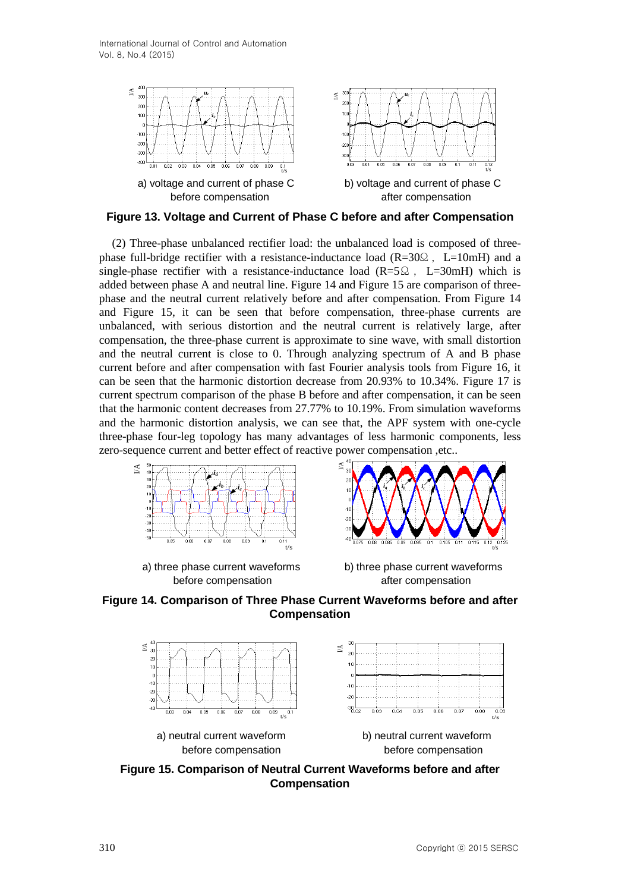International Journal of Control and Automation Vol. 8, No.4 (2015)



**Figure 13. Voltage and Current of Phase C before and after Compensation**

(2) Three-phase unbalanced rectifier load: the unbalanced load is composed of threephase full-bridge rectifier with a resistance-inductance load ( $R=30\Omega$ , L=10mH) and a single-phase rectifier with a resistance-inductance load ( $R=5\Omega$ , L=30mH) which is added between phase A and neutral line. Figure 14 and Figure 15 are comparison of threephase and the neutral current relatively before and after compensation. From Figure 14 and Figure 15, it can be seen that before compensation, three-phase currents are unbalanced, with serious distortion and the neutral current is relatively large, after compensation, the three-phase current is approximate to sine wave, with small distortion and the neutral current is close to 0. Through analyzing spectrum of A and B phase current before and after compensation with fast Fourier analysis tools from Figure 16, it can be seen that the harmonic distortion decrease from 20.93% to 10.34%. Figure 17 is current spectrum comparison of the phase B before and after compensation, it can be seen that the harmonic content decreases from 27.77% to 10.19%. From simulation waveforms and the harmonic distortion analysis, we can see that, the APF system with one-cycle three-phase four-leg topology has many advantages of less harmonic components, less zero-sequence current and better effect of reactive power compensation ,etc..



a) three phase current waveforms b) three phase current waveforms before compensation before compensation







**Figure 15. Comparison of Neutral Current Waveforms before and after Compensation**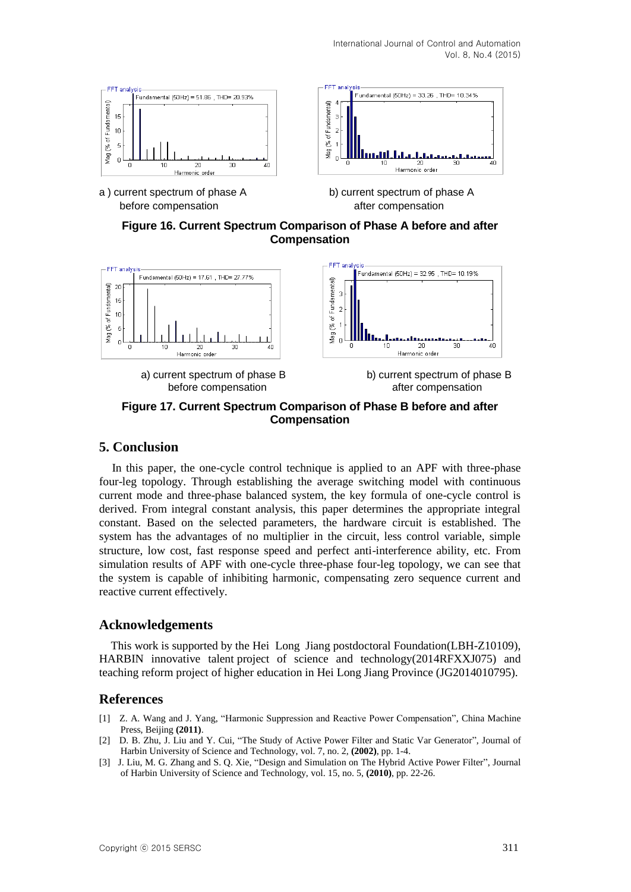

a ) current spectrum of phase A b) current spectrum of phase A before compensation before compensation



**Figure 16. Current Spectrum Comparison of Phase A before and after Compensation**



**Figure 17. Current Spectrum Comparison of Phase B before and after Compensation**

## **5. Conclusion**

In this paper, the one-cycle control technique is applied to an APF with three-phase four-leg topology. Through establishing the average switching model with continuous current mode and three-phase balanced system, the key formula of one-cycle control is derived. From integral constant analysis, this paper determines the appropriate integral constant. Based on the selected parameters, the hardware circuit is established. The system has the advantages of no multiplier in the circuit, less control variable, simple structure, low cost, fast response speed and perfect anti-interference ability, etc. From simulation results of APF with one-cycle three-phase four-leg topology, we can see that the system is capable of inhibiting harmonic, compensating zero sequence current and reactive current effectively.

## **Acknowledgements**

 This work is supported by the Hei Long Jiang [postdoctoral](http://dict.cnki.net/dict_result.aspx?searchword=%e5%8d%9a%e5%a3%ab%e5%90%8e&tjType=sentence&style=&t=postdoctoral) Foundation(LBH-Z10109), HARBIN innovative talent project of science and technology(2014RFXXJ075) and teaching reform project of higher education in Hei Long Jiang Province (JG2014010795).

## **References**

- [1] Z. A. Wang and J. Yang, "Harmonic Suppression and Reactive Power Compensation", China Machine Press, Beijing **(2011)**.
- [2] D. B. Zhu, J. Liu and Y. Cui, "The Study of Active Power Filter and Static Var Generator", Journal of Harbin University of Science and Technology, vol. 7, no. 2, **(2002)**, pp. 1-4.
- [3] J. Liu, M. G. Zhang and S. Q. Xie, "Design and Simulation on The Hybrid Active Power Filter", Journal of Harbin University of Science and Technology, vol. 15, no. 5, **(2010)**, pp. 22-26.